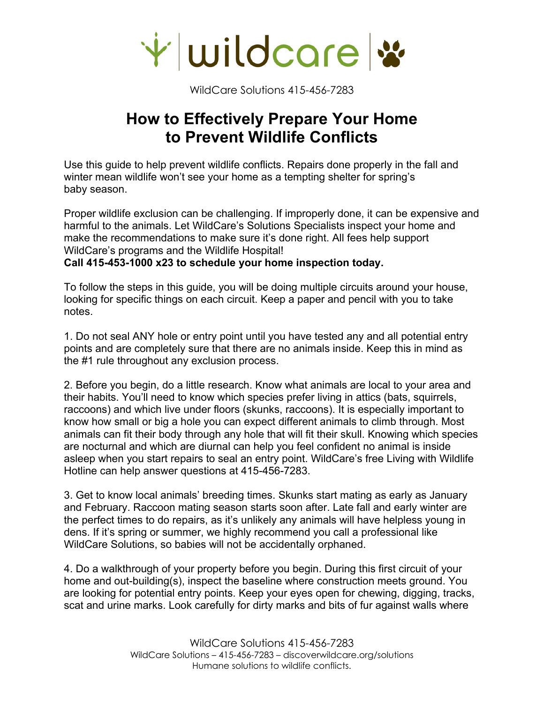

## **How to Effectively Prepare Your Home to Prevent Wildlife Conflicts**

Use this guide to help prevent wildlife conflicts. Repairs done properly in the fall and winter mean wildlife won't see your home as a tempting shelter for spring's baby season.

Proper wildlife exclusion can be challenging. If improperly done, it can be expensive and harmful to the animals. Let WildCare's Solutions Specialists inspect your home and make the recommendations to make sure it's done right. All fees help support WildCare's programs and the Wildlife Hospital!

**Call 415-453-1000 x23 to schedule your home inspection today.** 

To follow the steps in this guide, you will be doing multiple circuits around your house, looking for specific things on each circuit. Keep a paper and pencil with you to take notes.

1. Do not seal ANY hole or entry point until you have tested any and all potential entry points and are completely sure that there are no animals inside. Keep this in mind as the #1 rule throughout any exclusion process.

2. Before you begin, do a little research. Know what animals are local to your area and their habits. You'll need to know which species prefer living in attics (bats, squirrels, raccoons) and which live under floors (skunks, raccoons). It is especially important to know how small or big a hole you can expect different animals to climb through. Most animals can fit their body through any hole that will fit their skull. Knowing which species are nocturnal and which are diurnal can help you feel confident no animal is inside asleep when you start repairs to seal an entry point. WildCare's free Living with Wildlife Hotline can help answer questions at 415-456-7283.

3. Get to know local animals' breeding times. Skunks start mating as early as January and February. Raccoon mating season starts soon after. Late fall and early winter are the perfect times to do repairs, as it's unlikely any animals will have helpless young in dens. If it's spring or summer, we highly recommend you call a professional like WildCare Solutions, so babies will not be accidentally orphaned.

4. Do a walkthrough of your property before you begin. During this first circuit of your home and out-building(s), inspect the baseline where construction meets ground. You are looking for potential entry points. Keep your eyes open for chewing, digging, tracks, scat and urine marks. Look carefully for dirty marks and bits of fur against walls where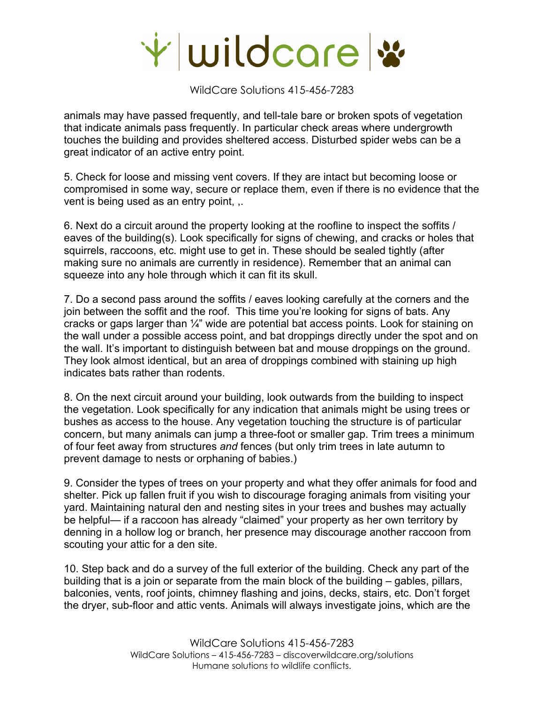

animals may have passed frequently, and tell-tale bare or broken spots of vegetation that indicate animals pass frequently. In particular check areas where undergrowth touches the building and provides sheltered access. Disturbed spider webs can be a great indicator of an active entry point.

5. Check for loose and missing vent covers. If they are intact but becoming loose or compromised in some way, secure or replace them, even if there is no evidence that the vent is being used as an entry point, ,.

6. Next do a circuit around the property looking at the roofline to inspect the soffits / eaves of the building(s). Look specifically for signs of chewing, and cracks or holes that squirrels, raccoons, etc. might use to get in. These should be sealed tightly (after making sure no animals are currently in residence). Remember that an animal can squeeze into any hole through which it can fit its skull.

7. Do a second pass around the soffits / eaves looking carefully at the corners and the join between the soffit and the roof. This time you're looking for signs of bats. Any cracks or gaps larger than  $\frac{1}{4}$ " wide are potential bat access points. Look for staining on the wall under a possible access point, and bat droppings directly under the spot and on the wall. It's important to distinguish between bat and mouse droppings on the ground. They look almost identical, but an area of droppings combined with staining up high indicates bats rather than rodents.

8. On the next circuit around your building, look outwards from the building to inspect the vegetation. Look specifically for any indication that animals might be using trees or bushes as access to the house. Any vegetation touching the structure is of particular concern, but many animals can jump a three-foot or smaller gap. Trim trees a minimum of four feet away from structures *and* fences (but only trim trees in late autumn to prevent damage to nests or orphaning of babies.)

9. Consider the types of trees on your property and what they offer animals for food and shelter. Pick up fallen fruit if you wish to discourage foraging animals from visiting your yard. Maintaining natural den and nesting sites in your trees and bushes may actually be helpful— if a raccoon has already "claimed" your property as her own territory by denning in a hollow log or branch, her presence may discourage another raccoon from scouting your attic for a den site.

10. Step back and do a survey of the full exterior of the building. Check any part of the building that is a join or separate from the main block of the building – gables, pillars, balconies, vents, roof joints, chimney flashing and joins, decks, stairs, etc. Don't forget the dryer, sub-floor and attic vents. Animals will always investigate joins, which are the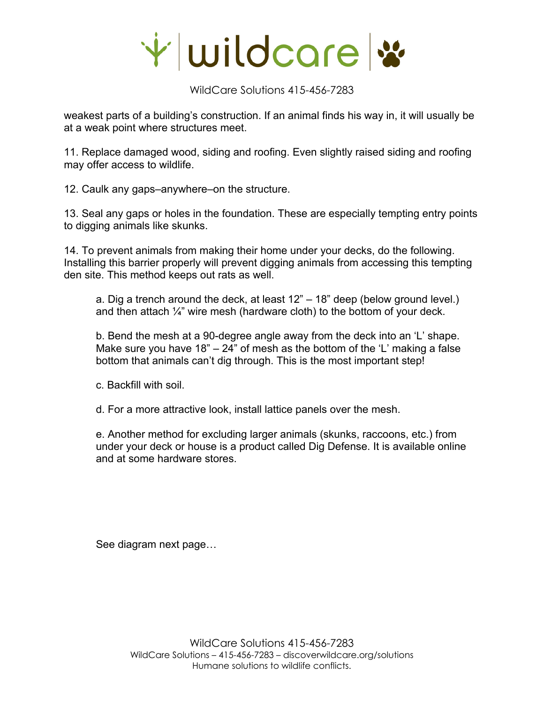

weakest parts of a building's construction. If an animal finds his way in, it will usually be at a weak point where structures meet.

11. Replace damaged wood, siding and roofing. Even slightly raised siding and roofing may offer access to wildlife.

12. Caulk any gaps–anywhere–on the structure.

13. Seal any gaps or holes in the foundation. These are especially tempting entry points to digging animals like skunks.

14. To prevent animals from making their home under your decks, do the following. Installing this barrier properly will prevent digging animals from accessing this tempting den site. This method keeps out rats as well.

a. Dig a trench around the deck, at least 12" – 18" deep (below ground level.) and then attach  $\frac{1}{4}$ " wire mesh (hardware cloth) to the bottom of your deck.

b. Bend the mesh at a 90-degree angle away from the deck into an 'L' shape. Make sure you have 18"  $-$  24" of mesh as the bottom of the 'L' making a false bottom that animals can't dig through. This is the most important step!

c. Backfill with soil.

d. For a more attractive look, install lattice panels over the mesh.

e. Another method for excluding larger animals (skunks, raccoons, etc.) from under your deck or house is a product called Dig Defense. It is available online and at some hardware stores.

See diagram next page…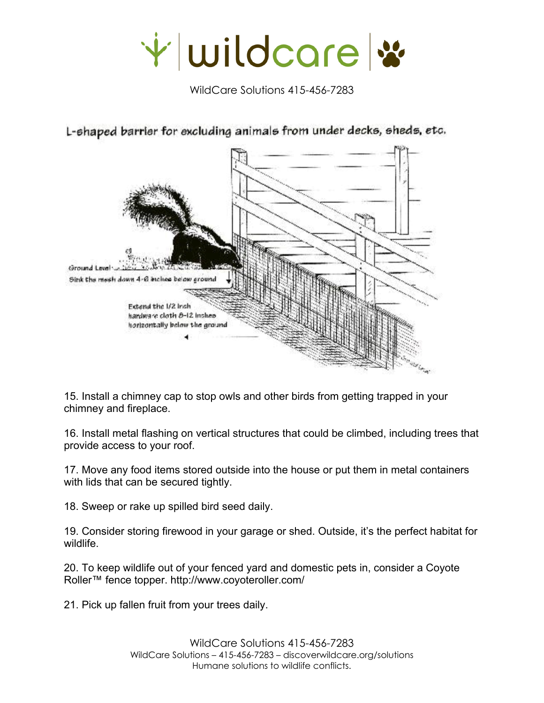



L-shaped barrier for excluding animals from under decks, sheds, etc.

15. Install a chimney cap to stop owls and other birds from getting trapped in your chimney and fireplace.

16. Install metal flashing on vertical structures that could be climbed, including trees that provide access to your roof.

17. Move any food items stored outside into the house or put them in metal containers with lids that can be secured tightly.

18. Sweep or rake up spilled bird seed daily.

19. Consider storing firewood in your garage or shed. Outside, it's the perfect habitat for wildlife.

20. To keep wildlife out of your fenced yard and domestic pets in, consider a Coyote Roller™ fence topper. http://www.coyoteroller.com/

21. Pick up fallen fruit from your trees daily.